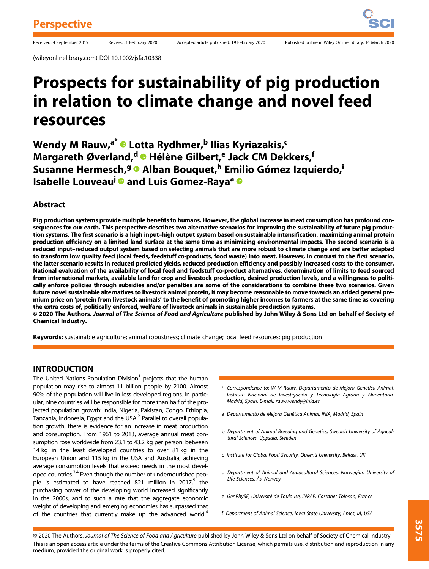(wileyonlinelibrary.com) DOI 10.1002/jsfa.10338

# Prospects for sustainability of pig production in relation to climate change and novel feed resources

Wendy M Rauw,<sup>a\*</sup> <sup>®</sup> Lotta Rydhmer,<sup>b</sup> Ilias Kyriazakis,<sup>c</sup> Margareth Øverland,<sup>d</sup> ® Hélène Gilbert,<sup>e</sup> Jack CM Dekkers,<sup>f</sup> Susanne Hermesch,<sup>g</sup> @ Alban Bouquet,<sup>h</sup> Emilio Gómez Izquierdo,<sup>i</sup> Isabelle Louveau<sup>j @</sup> and Luis Gomez-Raya<sup>a</sup> <sup>@</sup>

## Abstract

Pig production systems provide multiple benefits to humans. However, the global increase in meat consumption has profound consequences for our earth. This perspective describes two alternative scenarios for improving the sustainability of future pig production systems. The first scenario is a high input–high output system based on sustainable intensification, maximizing animal protein production efficiency on a limited land surface at the same time as minimizing environmental impacts. The second scenario is a reduced input–reduced output system based on selecting animals that are more robust to climate change and are better adapted to transform low quality feed (local feeds, feedstuff co-products, food waste) into meat. However, in contrast to the first scenario, the latter scenario results in reduced predicted yields, reduced production efficiency and possibly increased costs to the consumer. National evaluation of the availability of local feed and feedstuff co-product alternatives, determination of limits to feed sourced from international markets, available land for crop and livestock production, desired production levels, and a willingness to politically enforce policies through subsidies and/or penalties are some of the considerations to combine these two scenarios. Given future novel sustainable alternatives to livestock animal protein, it may become reasonable to move towards an added general premium price on 'protein from livestock animals' to the benefit of promoting higher incomes to farmers at the same time as covering the extra costs of, politically enforced, welfare of livestock animals in sustainable production systems.

© 2020 The Authors. Journal of The Science of Food and Agriculture published by John Wiley & Sons Ltd on behalf of Society of Chemical Industry.

Keywords: sustainable agriculture; animal robustness; climate change; local feed resources; pig production

## INTRODUCTION

The United Nations Population Division<sup>1</sup> projects that the human population may rise to almost 11 billion people by 2100. Almost 90% of the population will live in less developed regions. In particular, nine countries will be responsible for more than half of the projected population growth: India, Nigeria, Pakistan, Congo, Ethiopia, Tanzania, Indonesia, Egypt and the USA.<sup>2</sup> Parallel to overall population growth, there is evidence for an increase in meat production and consumption. From 1961 to 2013, average annual meat consumption rose worldwide from 23.1 to 43.2 kg per person: between 14 kg in the least developed countries to over 81 kg in the European Union and 115 kg in the USA and Australia, achieving average consumption levels that exceed needs in the most developed countries.<sup>3,4</sup> Even though the number of undernourished people is estimated to have reached 821 million in 2017,<sup>5</sup> the purchasing power of the developing world increased significantly in the 2000s, and to such a rate that the aggregate economic weight of developing and emerging economies has surpassed that of the countries that currently make up the advanced world.<sup>6</sup>

- Correspondence to: W M Rauw, Departamento de Mejora Genética Animal, Instituto Nacional de Investigación y Tecnología Agraria y Alimentaria, Madrid, Spain. E-mail: [rauw.wendy@inia.es](mailto:rauw.wendy@inia.es)
- a Departamento de Mejora Genética Animal, INIA, Madrid, Spain
- b Department of Animal Breeding and Genetics, Swedish University of Agricultural Sciences, Uppsala, Sweden
- c Institute for Global Food Security, Queen's University, Belfast, UK
- d Department of Animal and Aquacultural Sciences, Norwegian University of Life Sciences, Ås, Norway
- e GenPhySE, Université de Toulouse, INRAE, Castanet Tolosan, France
- f Department of Animal Science, Iowa State University, Ames, IA, USA

© 2020 The Authors. Journal of The Science of Food and Agriculture published by John Wiley & Sons Ltd on behalf of Society of Chemical Industry. This is an open access article under the terms of the [Creative Commons Attribution](http://creativecommons.org/licenses/by/4.0/) License, which permits use, distribution and reproduction in any medium, provided the original work is properly cited.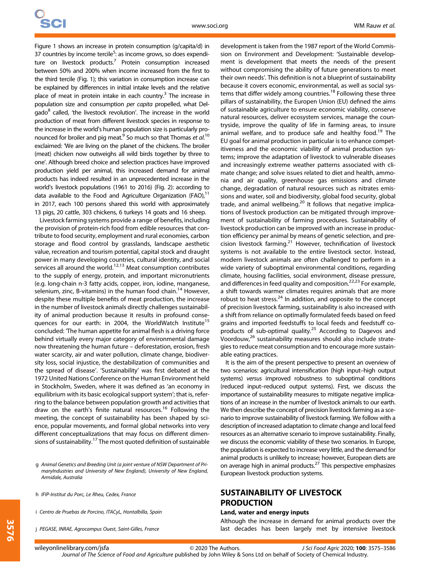Figure 1 shows an increase in protein consumption (g/capita/d) in 37 countries by income tercile<sup>5</sup>: as income grows, so does expenditure on livestock products.<sup>7</sup> Protein consumption increased between 50% and 200% when income increased from the first to the third tercile (Fig. 1); this variation in consumption increase can be explained by differences in initial intake levels and the relative place of meat in protein intake in each country. $3$  The increase in population size and consumption per capita propelled, what Delgado<sup>8</sup> called, 'the livestock revolution'. The increase in the world production of meat from different livestock species in response to the increase in the world's human population size is particularly pronounced for broiler and pig meat.<sup>9</sup> So much so that Thomas et al.<sup>10</sup> exclaimed: 'We are living on the planet of the chickens. The broiler (meat) chicken now outweighs all wild birds together by three to one'. Although breed choice and selection practices have improved production yield per animal, this increased demand for animal products has indeed resulted in an unprecedented increase in the world's livestock populations (1961 to 2016) (Fig. 2): according to data available to the Food and Agriculture Organization (FAO), $11$ in 2017, each 100 persons shared this world with approximately 13 pigs, 20 cattle, 303 chickens, 6 turkeys 14 goats and 16 sheep.

Livestock farming systems provide a range of benefits, including the provision of protein-rich food from edible resources that contribute to food security, employment and rural economies, carbon storage and flood control by grasslands, landscape aesthetic value, recreation and tourism potential, capital stock and draught power in many developing countries, cultural identity, and social services all around the world. $12,13$  Meat consumption contributes to the supply of energy, protein, and important micronutrients (e.g. long-chain n-3 fatty acids, copper, iron, iodine, manganese, selenium, zinc, B-vitamins) in the human food chain.<sup>14</sup> However, despite these multiple benefits of meat production, the increase in the number of livestock animals directly challenges sustainability of animal production because it results in profound consequences for our earth: in 2004, the WorldWatch Institute<sup>15</sup> concluded: 'The human appetite for animal flesh is a driving force behind virtually every major category of environmental damage now threatening the human future – deforestation, erosion, fresh water scarcity, air and water pollution, climate change, biodiversity loss, social injustice, the destabilization of communities and the spread of disease'. 'Sustainability' was first debated at the 1972 United Nations Conference on the Human Environment held in Stockholm, Sweden, where it was defined as 'an economy in equilibrium with its basic ecological support system'; that is, referring to the balance between population growth and activities that draw on the earth's finite natural resources.<sup>16</sup> Following the meeting, the concept of sustainability has been shaped by science, popular movements, and formal global networks into very different conceptualizations that may focus on different dimensions of sustainability.<sup>17</sup> The most quoted definition of sustainable

i Centro de Pruebas de Porcino, ITACyL, Hontalbilla, Spain

j PEGASE, INRAE, Agrocampus Ouest, Saint-Gilles, France

development is taken from the 1987 report of the World Commission on Environment and Development: 'Sustainable development is development that meets the needs of the present without compromising the ability of future generations to meet their own needs'. This definition is not a blueprint of sustainability because it covers economic, environmental, as well as social systems that differ widely among countries.<sup>18</sup> Following these three pillars of sustainability, the Europen Union (EU) defined the aims of sustainable agriculture to ensure economic viability, conserve natural resources, deliver ecosystem services, manage the countryside, improve the quality of life in farming areas, to insure animal welfare, and to produce safe and healthy food.<sup>19</sup> The EU goal for animal production in particular is to enhance competitiveness and the economic viability of animal production systems; improve the adaptation of livestock to vulnerable diseases and increasingly extreme weather patterns associated with climate change; and solve issues related to diet and health, ammonia and air quality, greenhouse gas emissions and climate change, degradation of natural resources such as nitrates emissions and water, soil and biodiversity, global food security, global trade, and animal wellbeing.<sup>20</sup> It follows that negative implications of livestock production can be mitigated through improvement of sustainability of farming procedures. Sustainability of livestock production can be improved with an increase in production efficiency per animal by means of genetic selection, and precision livestock farming.<sup>21</sup> However, technification of livestock systems is not available to the entire livestock sector. Instead, modern livestock animals are often challenged to perform in a wide variety of suboptimal environmental conditions, regarding climate, housing facilities, social environment, disease pressure, and differences in feed quality and composition.<sup>22,23</sup> For example, a shift towards warmer climates requires animals that are more robust to heat stress. $^{24}$  In addition, and opposite to the concept of precision livestock farming, sustainability is also increased with a shift from reliance on optimally formulated feeds based on feed grains and imported feedstuffs to local feeds and feedstuff coproducts of sub-optimal quality.<sup>25</sup> According to Dagevos and Voordouw,<sup>26</sup> sustainability measures should also include strategies to reduce meat consumption and to encourage more sustainable eating practices.

It is the aim of the present perspective to present an overview of two scenarios: agricultural intensification (high input–high output systems) versus improved robustness to suboptimal conditions (reduced input–reduced output systems). First, we discuss the importance of sustainability measures to mitigate negative implications of an increase in the number of livestock animals to our earth. We then describe the concept of precision livestock farming as a scenario to improve sustainability of livestock farming. We follow with a description of increased adaptation to climate change and local feed resources as an alternative scenario to improve sustainability. Finally, we discuss the economic viability of these two scenarios. In Europe, the population is expected to increase very little, and the demand for animal products is unlikely to increase; however, European diets are on average high in animal products. $^{27}$  This perspective emphasizes European livestock production systems.

## SUSTAINABILITY OF LIVESTOCK PRODUCTION

#### Land, water and energy inputs

Although the increase in demand for animal products over the last decades has been largely met by intensive livestock

g Animal Genetics and Breeding Unit (a joint venture of NSW Department of PrimaryIndustries and University of New England), University of New England, Armidale, Australia

h IFIP-Institut du Porc, Le Rheu, Cedex, France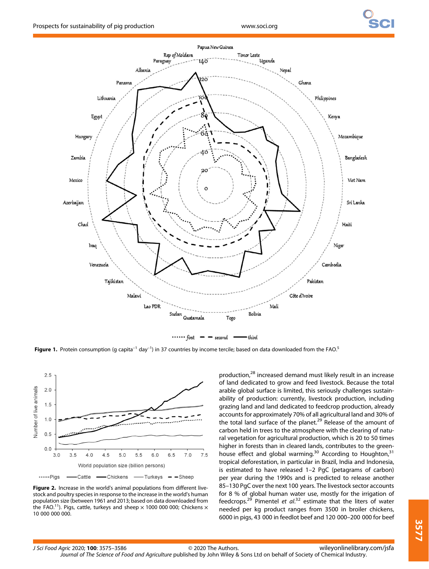



Figure 1. Protein consumption (g capita<sup>-1</sup> day<sup>-1</sup>) in 37 countries by income tercile; based on data downloaded from the FAO.<sup>5</sup>



Figure 2. Increase in the world's animal populations from different livestock and poultry species in response to the increase in the world's human population size (between 1961 and 2013; based on data downloaded from the FAO.<sup>11</sup>). Pigs, cattle, turkeys and sheep  $\times$  1000 000 000; Chickens  $\times$ 10 000 000 000.

production,<sup>28</sup> increased demand must likely result in an increase of land dedicated to grow and feed livestock. Because the total arable global surface is limited, this seriously challenges sustainability of production: currently, livestock production, including grazing land and land dedicated to feedcrop production, already accounts for approximately 70% of all agricultural land and 30% of the total land surface of the planet.<sup>29</sup> Release of the amount of carbon held in trees to the atmosphere with the clearing of natural vegetation for agricultural production, which is 20 to 50 times higher in forests than in cleared lands, contributes to the greenhouse effect and global warming.<sup>30</sup> According to Houghton,<sup>31</sup> tropical deforestation, in particular in Brazil, India and Indonesia, is estimated to have released 1–2 PgC (petagrams of carbon) per year during the 1990s and is predicted to release another 85–130 PgC over the next 100 years. The livestock sector accounts for 8 % of global human water use, mostly for the irrigation of feedcrops.<sup>29</sup> Pimentel et  $al^{32}$  estimate that the liters of water needed per kg product ranges from 3500 in broiler chickens, 6000 in pigs, 43 000 in feedlot beef and 120 000–200 000 for beef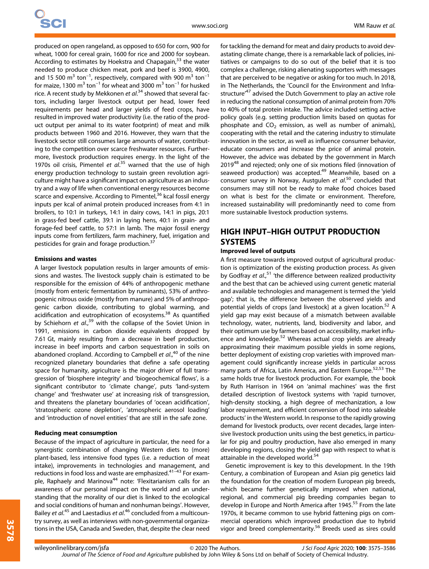produced on open rangeland, as opposed to 650 for corn, 900 for wheat, 1000 for cereal grain, 1600 for rice and 2000 for soybean. According to estimates by Hoekstra and Chapagain, $33$  the water needed to produce chicken meat, pork and beef is 3900, 4900, and 15 500  $m^3$  ton<sup>-1</sup>, respectively, compared with 900  $m^3$  ton<sup>-1</sup> for maize, 1300  $m^3$  ton<sup>-1</sup> for wheat and 3000  $m^3$  ton<sup>-1</sup> for husked rice. A recent study by Mekkonen et al.<sup>34</sup> showed that several factors, including larger livestock output per head, lower feed requirements per head and larger yields of feed crops, have resulted in improved water productivity (i.e. the ratio of the product output per animal to its water footprint) of meat and milk products between 1960 and 2016. However, they warn that the livestock sector still consumes large amounts of water, contributing to the competition over scarce freshwater resources. Furthermore, livestock production requires energy. In the light of the 1970s oil crisis, Pimentel et  $al^{35}$  warned that the use of high energy production technology to sustain green revolution agriculture might have a significant impact on agriculture as an industry and a way of life when conventional energy resources become scarce and expensive. According to Pimentel,<sup>36</sup> kcal fossil energy inputs per kcal of animal protein produced increases from 4:1 in broilers, to 10:1 in turkeys, 14:1 in dairy cows, 14:1 in pigs, 20:1 in grass-fed beef cattle, 39:1 in laying hens, 40:1 in grain- and forage-fed beef cattle, to 57:1 in lamb. The major fossil energy inputs come from fertilizers, farm machinery, fuel, irrigation and pesticides for grain and forage production.<sup>37</sup>

#### Emissions and wastes

A larger livestock population results in larger amounts of emissions and wastes. The livestock supply chain is estimated to be responsible for the emission of 44% of anthropogenic methane (mostly from enteric fermentation by ruminants), 53% of anthropogenic nitrous oxide (mostly from manure) and 5% of anthropogenic carbon dioxide, contributing to global warming, and acidification and eutrophication of ecosystems.<sup>38</sup> As quantified by Schiehorn et al.,<sup>39</sup> with the collapse of the Soviet Union in 1991, emissions in carbon dioxide equivalents dropped by 7.61 Gt, mainly resulting from a decrease in beef production, increase in beef imports and carbon sequestration in soils on abandoned cropland. According to Campbell et al.,<sup>40</sup> of the nine recognized planetary boundaries that define a safe operating space for humanity, agriculture is the major driver of full transgression of 'biosphere integrity' and 'biogeochemical flows', is a significant contributor to 'climate change', puts 'land-system change' and 'freshwater use' at increasing risk of transgression, and threatens the planetary boundaries of 'ocean acidification', 'stratospheric ozone depletion', 'atmospheric aerosol loading' and 'introduction of novel entities' that are still in the safe zone.

#### Reducing meat consumption

Because of the impact of agriculture in particular, the need for a synergistic combination of changing Western diets to (more) plant-based, less intensive food types (i.e. a reduction of meat intake), improvements in technologies and management, and reductions in food loss and waste are emphasized.<sup>41-43</sup> For example, Raphaely and Marinova<sup>44</sup> note: 'Flexitarianism calls for an awareness of our personal impact on the world and an understanding that the morality of our diet is linked to the ecological and social conditions of human and nonhuman beings'. However, Bailey et al.<sup>45</sup> and Laestadius et al.<sup>46</sup> concluded from a multicountry survey, as well as interviews with non-governmental organizations in the USA, Canada and Sweden, that, despite the clear need

for tackling the demand for meat and dairy products to avoid devastating climate change, there is a remarkable lack of policies, initiatives or campaigns to do so out of the belief that it is too complex a challenge, risking alienating supporters with messages that are perceived to be negative or asking for too much. In 2018, in The Netherlands, the 'Council for the Environment and Infrastructure<sup>,47</sup> advised the Dutch Government to play an active role in reducing the national consumption of animal protein from 70% to 40% of total protein intake. The advice included setting active policy goals (e.g. setting production limits based on quotas for phosphate and  $CO<sub>2</sub>$  emission, as well as number of animals), cooperating with the retail and the catering industry to stimulate innovation in the sector, as well as influence consumer behavior, educate consumers and increase the price of animal protein. However, the advice was debated by the government in March 2019<sup>48</sup> and rejected; only one of six motions filed (innovation of seaweed production) was accepted.<sup>49</sup> Meanwhile, based on a consumer survey in Norway, Austgulen et al.<sup>50</sup> concluded that consumers may still not be ready to make food choices based on what is best for the climate or environment. Therefore, increased sustainability will predominantly need to come from more sustainable livestock production systems.

# HIGH INPUT–HIGH OUTPUT PRODUCTION SYSTEMS

### Improved level of outputs

A first measure towards improved output of agricultural production is optimization of the existing production process. As given by Godfray et al.,<sup>51</sup> 'the difference between realized productivity and the best that can be achieved using current genetic material and available technologies and management is termed the 'yield gap'; that is, the difference between the observed yields and potential vields of crops [and livestock] at a given location.<sup>52</sup> A yield gap may exist because of a mismatch between available technology, water, nutrients, land, biodiversity and labor, and their optimum use by farmers based on accessibility, market influence and knowledge.<sup>52</sup> Whereas actual crop yields are already approximating their maximum possible yields in some regions, better deployment of existing crop varieties with improved management could significantly increase yields in particular across many parts of Africa, Latin America, and Eastern Europe.<sup>52,53</sup> The same holds true for livestock production. For example, the book by Ruth Harrison in 1964 on 'animal machines' was the first detailed description of livestock systems with 'rapid turnover, high-density stocking, a high degree of mechanization, a low labor requirement, and efficient conversion of food into saleable products' in the Western world. In response to the rapidly growing demand for livestock products, over recent decades, large intensive livestock production units using the best genetics, in particular for pig and poultry production, have also emerged in many developing regions, closing the yield gap with respect to what is attainable in the developed world.<sup>54</sup>

Genetic improvement is key to this development. In the 19th Century, a combination of European and Asian pig genetics laid the foundation for the creation of modern European pig breeds, which became further genetically improved when national, regional, and commercial pig breeding companies began to develop in Europe and North America after 1945.<sup>55</sup> From the late 1970s, it became common to use hybrid fattening pigs on commercial operations which improved production due to hybrid vigor and breed complementarity.<sup>56</sup> Breeds used as sires could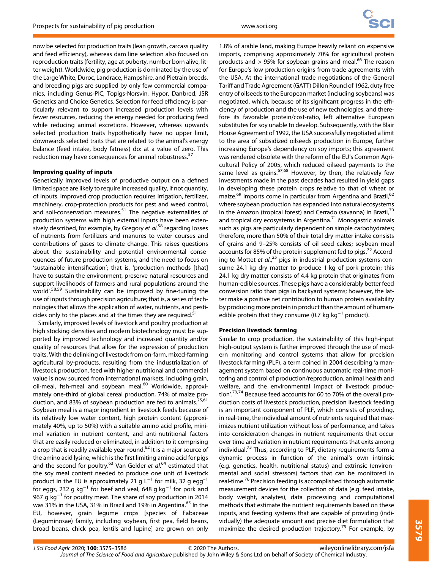now be selected for production traits (lean growth, carcass quality and feed efficiency), whereas dam line selection also focused on reproduction traits (fertility, age at puberty, number born alive, litter weight). Worldwide, pig production is dominated by the use of the Large White, Duroc, Landrace, Hampshire, and Pietrain breeds, and breeding pigs are supplied by only few commercial companies, including Genus-PIC, Topigs-Norsvin, Hypor, Danbred, JSR Genetics and Choice Genetics. Selection for feed efficiency is particularly relevant to support increased production levels with fewer resources, reducing the energy needed for producing feed while reducing animal excretions. However, whereas upwards selected production traits hypothetically have no upper limit, downwards selected traits that are related to the animal's energy balance (feed intake, body fatness) do: at a value of zero. This reduction may have consequences for animal robustness.<sup>57</sup>

## Improving quality of inputs

Genetically improved levels of productive output on a defined limited space are likely to require increased quality, if not quantity, of inputs. Improved crop production requires irrigation, fertilizer, machinery, crop-protection products for pest and weed control, and soil-conservation measures.<sup>51</sup> The negative externalities of production systems with high external inputs have been extensively described, for example, by Gregory *et al*.<sup>58</sup> regarding losses of nutrients from fertilizers and manures to water courses and contributions of gases to climate change. This raises questions about the sustainability and potential environmental consequences of future production systems, and the need to focus on 'sustainable intensification'; that is, 'production methods [that] have to sustain the environment, preserve natural resources and support livelihoods of farmers and rural populations around the world'.<sup>58,59</sup> Sustainability can be improved by fine-tuning the use of inputs through precision agriculture; that is, a series of technologies that allows the application of water, nutrients, and pesticides only to the places and at the times they are required.<sup>51</sup>

Similarly, improved levels of livestock and poultry production at high stocking densities and modern biotechnology must be supported by improved technology and increased quantity and/or quality of resources that allow for the expression of production traits. With the delinking of livestock from on-farm, mixed-farming agricultural by-products, resulting from the industrialization of livestock production, feed with higher nutritional and commercial value is now sourced from international markets, including grain, oil-meal, fish-meal and soybean meal.<sup>60</sup> Worldwide, approximately one-third of global cereal production, 74% of maize production, and 83% of soybean production are fed to animals.<sup>25,61</sup> Soybean meal is a major ingredient in livestock feeds because of its relatively low water content, high protein content (approximately 40%, up to 50%) with a suitable amino acid profile, minimal variation in nutrient content, and anti-nutritional factors that are easily reduced or eliminated, in addition to it comprising a crop that is readily available year-round.<sup>62</sup> It is a major source of the amino acid lysine, which is the first limiting amino acid for pigs and the second for poultry.<sup>63</sup> Van Gelder *et al.*<sup>64</sup> estimated that the soy meal content needed to produce one unit of livestock product in the EU is approximately 21 g L<sup>-1</sup> for milk, 32 g egg<sup>-1</sup> for eggs, 232 g kg<sup>-1</sup> for beef and veal, 648 g kg<sup>-1</sup> for pork and 967 g kg<sup>-1</sup> for poultry meat. The share of soy production in 2014 was 31% in the USA, 31% in Brazil and 19% in Argentina.<sup>65</sup> In the EU, however, grain legume crops [species of Fabaceae (Leguminosae) family, including soybean, first pea, field beans, broad beans, chick pea, lentils and lupine] are grown on only

1.8% of arable land, making Europe heavily reliant on expensive imports, comprising approximately 70% for agricultural protein products and  $> 95\%$  for soybean grains and meal.<sup>66</sup> The reason for Europe's low production origins from trade agreements with the USA. At the international trade negotiations of the General Tariff and Trade Agreement (GATT) Dillon Round of 1962, duty free entry of oilseeds to the European market (including soybeans) was negotiated, which, because of its significant progress in the efficiency of production and the use of new technologies, and therefore its favorable protein/cost-ratio, left alternative European substitutes for soy unable to develop. Subsequently, with the Blair House Agreement of 1992, the USA successfully negotiated a limit to the area of subsidized oilseeds production in Europe, further increasing Europe's dependency on soy imports; this agreement was rendered obsolete with the reform of the EU's Common Agricultural Policy of 2005, which reduced oilseed payments to the same level as grains.<sup>67,68</sup> However, by then, the relatively few investments made in the past decades had resulted in yield gaps in developing these protein crops relative to that of wheat or maize.<sup>69</sup> Imports come in particular from Argentina and Brazil,<sup>62</sup> where soybean production has expanded into natural ecosystems in the Amazon (tropical forest) and Cerrado (savanna) in Brazil,<sup>70</sup> and tropical dry ecosystems in Argentina.<sup>71</sup> Monogastric animals such as pigs are particularly dependent on simple carbohydrates; therefore, more than 50% of their total dry-matter intake consists of grains and 9–25% consists of oil seed cakes; soybean meal accounts for 85% of the protein supplement fed to pigs.<sup>72</sup> According to Mottet et  $al.^{25}$  pigs in industrial production systems consume 24.1 kg dry matter to produce 1 kg of pork protein; this 24.1 kg dry matter consists of 4.4 kg protein that originates from human-edible sources. These pigs have a considerably better feed conversion ratio than pigs in backyard systems; however, the latter make a positive net contribution to human protein availability by producing more protein in product than the amount of humanedible protein that they consume (0.7 kg kg<sup>-1</sup> product).

## Precision livestock farming

Similar to crop production, the sustainability of this high-input high-output system is further improved through the use of modern monitoring and control systems that allow for precision livestock farming (PLF), a term coined in 2004 describing 'a management system based on continuous automatic real-time monitoring and control of production/reproduction, animal health and welfare, and the environmental impact of livestock production'.<sup>73,74</sup> Because feed accounts for 60 to 70% of the overall production costs of livestock production, precision livestock feeding is an important component of PLF, which consists of providing, in real-time, the individual amount of nutrients required that maximizes nutrient utilization without loss of performance, and takes into consideration changes in nutrient requirements that occur over time and variation in nutrient requirements that exits among individual.<sup>75</sup> Thus, according to PLF, dietary requirements form a dynamic process in function of the animal's own intrinsic (e.g. genetics, health, nutritional status) and extrinsic (environmental and social stressors) factors that can be monitored in real-time.<sup>76</sup> Precision feeding is accomplished through automatic measurement devices for the collection of data (e.g. feed intake, body weight, analytes), data processing and computational methods that estimate the nutrient requirements based on these inputs, and feeding systems that are capable of providing (individually) the adequate amount and precise diet formulation that maximize the desired production trajectory.<sup>75</sup> For example, by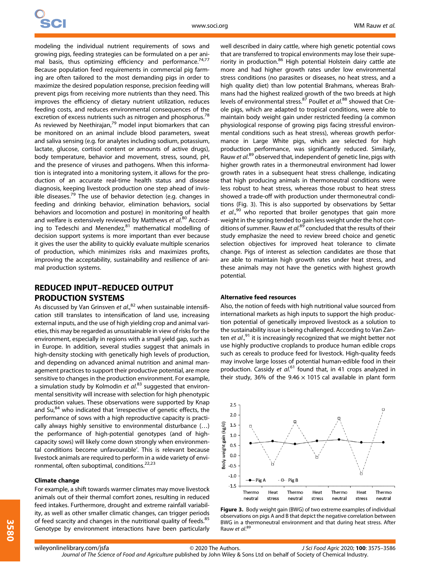modeling the individual nutrient requirements of sows and growing pigs, feeding strategies can be formulated on a per animal basis, thus optimizing efficiency and performance.<sup>74,77</sup> Because population feed requirements in commercial pig farming are often tailored to the most demanding pigs in order to maximize the desired population response, precision feeding will prevent pigs from receiving more nutrients than they need. This improves the efficiency of dietary nutrient utilization, reduces feeding costs, and reduces environmental consequences of the excretion of excess nutrients such as nitrogen and phosphorus.<sup>78</sup> As reviewed by Neethirajan,<sup>79</sup> model input biomarkers that can be monitored on an animal include blood parameters, sweat and saliva sensing (e.g. for analytes including sodium, potassium, lactate, glucose, cortisol content or amounts of active drugs), body temperature, behavior and movement, stress, sound, pH, and the presence of viruses and pathogens. When this information is integrated into a monitoring system, it allows for the production of an accurate real-time health status and disease diagnosis, keeping livestock production one step ahead of invisible diseases.<sup>79</sup> The use of behavior detection (e.g. changes in feeding and drinking behavior, elimination behaviors, social behaviors and locomotion and posture) in monitoring of health and welfare is extensively reviewed by Matthews et al.<sup>80</sup> According to Tedeschi and Menendez, $81$  mathematical modelling of decision support systems is more important than ever because it gives the user the ability to quickly evaluate multiple scenarios of production, which minimizes risks and maximizes profits, improving the acceptability, sustainability and resilience of animal production systems.

## REDUCED INPUT–REDUCED OUTPUT PRODUCTION SYSTEMS

As discussed by Van Grinsven et al.,<sup>82</sup> when sustainable intensification still translates to intensification of land use, increasing external inputs, and the use of high yielding crop and animal varieties, this may be regarded as unsustainable in view of risks for the environment, especially in regions with a small yield gap, such as in Europe. In addition, several studies suggest that animals in high-density stocking with genetically high levels of production, and depending on advanced animal nutrition and animal management practices to support their productive potential, are more sensitive to changes in the production environment. For example, a simulation study by Kolmodin et  $al$ .<sup>83</sup> suggested that environmental sensitivity will increase with selection for high phenotypic production values. These observations were supported by Knap and Su,<sup>84</sup> who indicated that 'irrespective of genetic effects, the performance of sows with a high reproductive capacity is practically always highly sensitive to environmental disturbance (…) the performance of high-potential genotypes (and of highcapacity sows) will likely come down strongly when environmental conditions become unfavourable'. This is relevant because livestock animals are required to perform in a wide variety of environmental, often suboptimal, conditions.<sup>22,23</sup>

#### Climate change

For example, a shift towards warmer climates may move livestock animals out of their thermal comfort zones, resulting in reduced feed intakes. Furthermore, drought and extreme rainfall variability, as well as other smaller climatic changes, can trigger periods of feed scarcity and changes in the nutritional quality of feeds.<sup>85</sup> Genotype by environment interactions have been particularly

well described in dairy cattle, where high genetic potential cows that are transferred to tropical environments may lose their superiority in production.<sup>86</sup> High potential Holstein dairy cattle ate more and had higher growth rates under low environmental stress conditions (no parasites or diseases, no heat stress, and a high quality diet) than low potential Brahmans, whereas Brahmans had the highest realized growth of the two breeds at high levels of environmental stress.<sup>87</sup> Poullet et al.<sup>88</sup> showed that Creole pigs, which are adapted to tropical conditions, were able to maintain body weight gain under restricted feeding (a common physiological response of growing pigs facing stressful environmental conditions such as heat stress), whereas growth performance in Large White pigs, which are selected for high production performance, was significantly reduced. Similarly, Rauw et al.<sup>89</sup> observed that, independent of genetic line, pigs with higher growth rates in a thermoneutral environment had lower growth rates in a subsequent heat stress challenge, indicating that high producing animals in thermoneutral conditions were less robust to heat stress, whereas those robust to heat stress showed a trade-off with production under thermoneutral conditions (Fig. 3). This is also supported by observations by Settar et al.<sup>s</sup>  $90$  who reported that broiler genotypes that gain more weight in the spring tended to gain less weight under the hot conditions of summer. Rauw et al.<sup>89</sup> concluded that the results of their study emphasize the need to review breed choice and genetic selection objectives for improved heat tolerance to climate change. Pigs of interest as selection candidates are those that are able to maintain high growth rates under heat stress, and these animals may not have the genetics with highest growth potential.

## Alternative feed resources

Also, the notion of feeds with high nutritional value sourced from international markets as high inputs to support the high production potential of genetically improved livestock as a solution to the sustainability issue is being challenged. According to Van Zanten et al.,<sup>91</sup> it is increasingly recognized that we might better not use highly productive croplands to produce human edible crops such as cereals to produce feed for livestock. High-quality feeds may involve large losses of potential human-edible food in their production. Cassidy et al.<sup>61</sup> found that, in 41 crops analyzed in their study, 36% of the 9.46  $\times$  1015 cal available in plant form



Figure 3. Body weight gain (BWG) of two extreme examples of individual observations on pigs A and B that depict the negative correlation between BWG in a thermoneutral environment and that during heat stress. After Rauw et al.<sup>89</sup>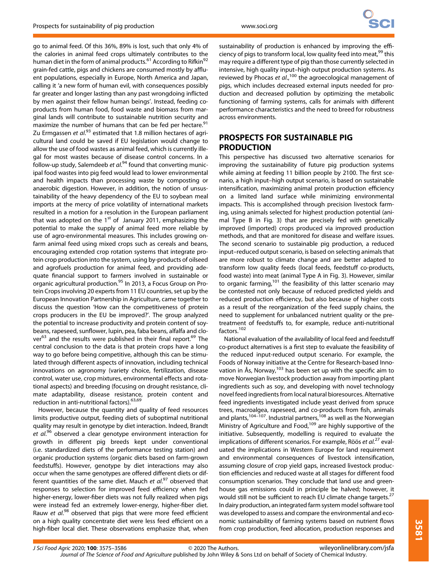go to animal feed. Of this 36%, 89% is lost, such that only 4% of the calories in animal feed crops ultimately contributes to the human diet in the form of animal products.<sup>61</sup> According to Rifkin<sup>92</sup> grain-fed cattle, pigs and chickens are consumed mostly by affluent populations, especially in Europe, North America and Japan, calling it 'a new form of human evil, with consequences possibly far greater and longer lasting than any past wrongdoing inflicted by men against their fellow human beings'. Instead, feeding coproducts from human food, food waste and biomass from marginal lands will contribute to sustainable nutrition security and maximize the number of humans that can be fed per hectare.<sup>91</sup> Zu Ermgassen et al.<sup>93</sup> estimated that 1.8 million hectares of agricultural land could be saved if EU legislation would change to allow the use of food wastes as animal feed, which is currently illegal for most wastes because of disease control concerns. In a follow-up study, Salemdeeb et al.<sup>94</sup> found that converting municipal food wastes into pig feed would lead to lower environmental and health impacts than processing waste by composting or anaerobic digestion. However, in addition, the notion of unsustainability of the heavy dependency of the EU to soybean meal imports at the mercy of price volatility of international markets resulted in a motion for a resolution in the European parliament that was adopted on the  $1<sup>st</sup>$  of January 2011, emphasizing the potential to make the supply of animal feed more reliable by use of agro-environmental measures. This includes growing onfarm animal feed using mixed crops such as cereals and beans, encouraging extended crop rotation systems that integrate protein crop production into the system, using by-products of oilseed and agrofuels production for animal feed, and providing adequate financial support to farmers involved in sustainable or organic agricultural production.<sup>95</sup> In 2013, a Focus Group on Protein Crops involving 20 experts from 11 EU countries, set up by the European Innovation Partnership in Agriculture, came together to discuss the question 'How can the competitiveness of protein crops producers in the EU be improved?'. The group analyzed the potential to increase productivity and protein content of soybeans, rapeseed, sunflower, lupin, pea, faba beans, alfalfa and clo $ver^{63}$  and the results were published in their final report.<sup>69</sup> The central conclusion to the data is that protein crops have a long way to go before being competitive, although this can be stimulated through different aspects of innovation, including technical innovations on agronomy (variety choice, fertilization, disease control, water use, crop mixtures, environmental effects and rotational aspects) and breeding (focusing on drought resistance, climate adaptability, disease resistance, protein content and reduction in anti-nutritional factors).<sup>63,69</sup>

However, because the quantity and quality of feed resources limits productive output, feeding diets of suboptimal nutritional quality may result in genotype by diet interaction. Indeed, Brandt et al.<sup>96</sup> observed a clear genotype environment interaction for growth in different pig breeds kept under conventional (i.e. standardized diets of the performance testing station) and organic production systems (organic diets based on farm-grown feedstuffs). However, genotype by diet interactions may also occur when the same genotypes are offered different diets or different quantities of the same diet. Mauch et al.<sup>97</sup> observed that responses to selection for improved feed efficiency when fed higher-energy, lower-fiber diets was not fully realized when pigs were instead fed an extremely lower-energy, higher-fiber diet. Rauw et al.<sup>98</sup> observed that pigs that were more feed efficient on a high quality concentrate diet were less feed efficient on a high-fiber local diet. These observations emphasize that, when

sustainability of production is enhanced by improving the efficiency of pigs to transform local, low quality feed into meat, <sup>99</sup> this may require a different type of pig than those currently selected in intensive, high quality input–high output production systems. As reviewed by Phocas et al.,<sup>100</sup> the agroecological management of pigs, which includes decreased external inputs needed for production and decreased pollution by optimizing the metabolic functioning of farming systems, calls for animals with different performance characteristics and the need to breed for robustness across environments.

# PROSPECTS FOR SUSTAINABLE PIG PRODUCTION

This perspective has discussed two alternative scenarios for improving the sustainability of future pig production systems while aiming at feeding 11 billion people by 2100. The first scenario, a high input–high output scenario, is based on sustainable intensification, maximizing animal protein production efficiency on a limited land surface while minimizing environmental impacts. This is accomplished through precision livestock farming, using animals selected for highest production potential (animal Type B in Fig. 3) that are precisely fed with genetically improved (imported) crops produced via improved production methods, and that are monitored for disease and welfare issues. The second scenario to sustainable pig production, a reduced input–reduced output scenario, is based on selecting animals that are more robust to climate change and are better adapted to transform low quality feeds (local feeds, feedstuff co-products, food waste) into meat (animal Type A in Fig. 3). However, similar to organic farming,<sup>101</sup> the feasibility of this latter scenario may be contested not only because of reduced predicted yields and reduced production efficiency, but also because of higher costs as a result of the reorganization of the feed supply chains, the need to supplement for unbalanced nutrient quality or the pretreatment of feedstuffs to, for example, reduce anti-nutritional factors.102

National evaluation of the availability of local feed and feedstuff co-product alternatives is a first step to evaluate the feasibility of the reduced input-reduced output scenario. For example, the Foods of Norway initiative at the Centre for Research-based Innovation in Ås, Norway, $103$  has been set up with the specific aim to move Norwegian livestock production away from importing plant ingredients such as soy, and developing with novel technology novel feed ingredients from local natural bioresources. Alternative feed ingredients investigated include yeast derived from spruce trees, macroalgea, rapeseed, and co-products from fish, animals and plants,<sup>104–107</sup>. Industrial partners,<sup>108</sup> as well as the Norwegian Ministry of Agriculture and Food,<sup>109</sup> are highly supportive of the initiative. Subsequently, modelling is required to evaluate the implications of different scenarios. For example, Röös et al.<sup>27</sup> evaluated the implications in Western Europe for land requirement and environmental consequences of livestock intensification, assuming closure of crop yield gaps, increased livestock production efficiencies and reduced waste at all stages for different food consumption scenarios. They conclude that land use and greenhouse gas emissions could in principle be halved; however, it would still not be sufficient to reach EU climate change targets.<sup>27</sup> In dairy production, an integrated farm system model software tool was developed to assess and compare the environmental and economic sustainability of farming systems based on nutrient flows from crop production, feed allocation, production responses and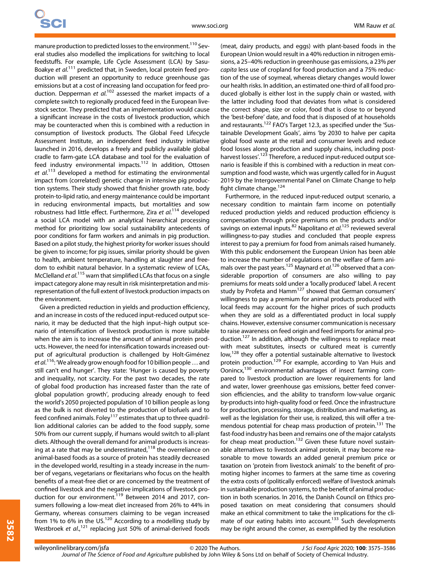manure production to predicted losses to the environment.<sup>110</sup> Several studies also modelled the implications for switching to local feedstuffs. For example, Life Cycle Assessment (LCA) by Sasu-Boakye et al.<sup>111</sup> predicted that, in Sweden, local protein feed production will present an opportunity to reduce greenhouse gas emissions but at a cost of increasing land occupation for feed production. Depperman et al.<sup>102</sup> assessed the market impacts of a complete switch to regionally produced feed in the European livestock sector. They predicted that an implementation would cause a significant increase in the costs of livestock production, which may be counteracted when this is combined with a reduction in consumption of livestock products. The Global Feed Lifecycle Assessment Institute, an independent feed industry initiative launched in 2016, develops a freely and publicly available global cradle to farm-gate LCA database and tool for the evaluation of feed industry environmental impacts.<sup>112</sup> In addition, Ottosen et al.<sup>113</sup> developed a method for estimating the environmental impact from (correlated) genetic change in intensive pig production systems. Their study showed that finisher growth rate, body protein-to-lipid ratio, and energy maintenance could be important in reducing environmental impacts, but mortalities and sow robustness had little effect. Furthermore, Zira et al.<sup>114</sup> developed a social LCA model with an analytical hierarchical processing method for prioritizing low social sustainability antecedents of poor conditions for farm workers and animals in pig production. Based on a pilot study, the highest priority for worker issues should be given to income; for pig issues, similar priority should be given to health, ambient temperature, handling at slaughter and freedom to exhibit natural behavior. In a systematic review of LCAs, McClelland et al.<sup>115</sup> warn that simplified LCAs that focus on a single impact category alone may result in risk misinterpretation and misrepresentation of the full extent of livestock production impacts on the environment.

Given a predicted reduction in yields and production efficiency, and an increase in costs of the reduced input-reduced output scenario, it may be deducted that the high input–high output scenario of intensification of livestock production is more suitable when the aim is to increase the amount of animal protein products. However, the need for intensification towards increased output of agricultural production is challenged by Holt-Giménez et al.<sup>116</sup>: 'We already grow enough food for 10 billion people ... and still can't end hunger'. They state: 'Hunger is caused by poverty and inequality, not scarcity. For the past two decades, the rate of global food production has increased faster than the rate of global population growth', producing already enough to feed the world's 2050 projected population of 10 billion people as long as the bulk is not diverted to the production of biofuels and to feed confined animals. Foley<sup>117</sup> estimates that up to three quadrillion additional calories can be added to the food supply, some 50% from our current supply, if humans would switch to all-plant diets. Although the overall demand for animal products is increasing at a rate that may be underestimated, $118$  the overreliance on animal-based foods as a source of protein has steadily decreased in the developed world, resulting in a steady increase in the number of vegans, vegetarians or flexitarians who focus on the health benefits of a meat-free diet or are concerned by the treatment of confined livestock and the negative implications of livestock production for our environment.<sup>119</sup> Between 2014 and 2017, consumers following a low-meat diet increased from 26% to 44% in Germany, whereas consumers claiming to be vegan increased from 1% to 6% in the US. $120$  According to a modelling study by Westbroek et al.,<sup>121</sup> replacing just 50% of animal-derived foods

(meat, dairy products, and eggs) with plant-based foods in the European Union would result in a 40% reduction in nitrogen emissions, a 25–40% reduction in greenhouse gas emissions, a 23% per capita less use of cropland for food production and a 75% reduction of the use of soymeal, whereas dietary changes would lower our health risks. In addition, an estimated one-third of all food produced globally is either lost in the supply chain or wasted, with the latter including food that deviates from what is considered the correct shape, size or color, food that is close to or beyond the 'best-before' date, and food that is disposed of at households and restaurants.<sup>122</sup> FAO's Target 12.3, as specified under the 'Sustainable Development Goals', aims 'by 2030 to halve per capita global food waste at the retail and consumer levels and reduce food losses along production and supply chains, including postharvest losses'.<sup>123</sup> Therefore, a reduced input-reduced output scenario is feasible if this is combined with a reduction in meat consumption and food waste, which was urgently called for in August 2019 by the Intergovernmental Panel on Climate Change to help fight climate change.<sup>124</sup>

Furthermore, in the reduced input-reduced output scenario, a necessary condition to maintain farm income on potentially reduced production yields and reduced production efficiency is compensation through price premiums on the products and/or savings on external inputs.<sup>82</sup> Napolitano *et al*.<sup>125</sup> reviewed several willingness-to-pay studies and concluded that people express interest to pay a premium for food from animals raised humanely. With this public endorsement the European Union has been able to increase the number of regulations on the welfare of farm animals over the past years.<sup>125</sup> Maynard et al.<sup>126</sup> observed that a considerable proportion of consumers are also willing to pay premiums for meats sold under a 'locally produced' label. A recent study by Profeta and Hamm<sup>127</sup> showed that German consumers' willingness to pay a premium for animal products produced with local feeds may account for the higher prices of such products when they are sold as a differentiated product in local supply chains. However, extensive consumer communication is necessary to raise awareness on feed origin and feed imports for animal production.<sup>127</sup> In addition, although the willingness to replace meat with meat substitutes, insects or cultured meat is currently low,<sup>128</sup> they offer a potential sustainable alternative to livestock protein production.<sup>129</sup> For example, according to Van Huis and Oonincx,130 environmental advantages of insect farming compared to livestock production are lower requirements for land and water, lower greenhouse gas emissions, better feed conversion efficiencies, and the ability to transform low-value organic by-products into high-quality food or feed. Once the infrastructure for production, processing, storage, distribution and marketing, as well as the legislation for their use, is realized, this will offer a tremendous potential for cheap mass production of protein.<sup>131</sup> The fast-food industry has been and remains one of the major catalysts for cheap meat production.<sup>132</sup> Given these future novel sustainable alternatives to livestock animal protein, it may become reasonable to move towards an added general premium price or taxation on 'protein from livestock animals' to the benefit of promoting higher incomes to farmers at the same time as covering the extra costs of (politically enforced) welfare of livestock animals in sustainable production systems, to the benefit of animal production in both scenarios. In 2016, the Danish Council on Ethics proposed taxation on meat considering that consumers should make an ethical commitment to take the implications for the climate of our eating habits into account.<sup>133</sup> Such developments may be right around the corner, as exemplified by the resolution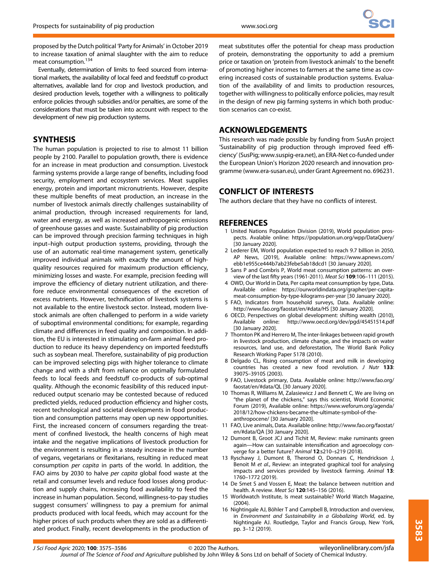proposed by the Dutch political 'Party for Animals' in October 2019 to increase taxation of animal slaughter with the aim to reduce meat consumption.<sup>134</sup>

Eventually, determination of limits to feed sourced from international markets, the availability of local feed and feedstuff co-product alternatives, available land for crop and livestock production, and desired production levels, together with a willingness to politically enforce policies through subsidies and/or penalties, are some of the considerations that must be taken into account with respect to the development of new pig production systems.

## **SYNTHESIS**

The human population is projected to rise to almost 11 billion people by 2100. Parallel to population growth, there is evidence for an increase in meat production and consumption. Livestock farming systems provide a large range of benefits, including food security, employment and ecosystem services. Meat supplies energy, protein and important micronutrients. However, despite these multiple benefits of meat production, an increase in the number of livestock animals directly challenges sustainability of animal production, through increased requirements for land, water and energy, as well as increased anthropogenic emissions of greenhouse gasses and waste. Sustainability of pig production can be improved through precision farming techniques in high input–high output production systems, providing, through the use of an automatic real-time management system, genetically improved individual animals with exactly the amount of highquality resources required for maximum production efficiency, minimizing losses and waste. For example, precision feeding will improve the efficiency of dietary nutrient utilization, and therefore reduce environmental consequences of the excretion of excess nutrients. However, technification of livestock systems is not available to the entire livestock sector. Instead, modern livestock animals are often challenged to perform in a wide variety of suboptimal environmental conditions; for example, regarding climate and differences in feed quality and composition. In addition, the EU is interested in stimulating on-farm animal feed production to reduce its heavy dependency on imported feedstuffs such as soybean meal. Therefore, sustainability of pig production can be improved selecting pigs with higher tolerance to climate change and with a shift from reliance on optimally formulated feeds to local feeds and feedstuff co-products of sub-optimal quality. Although the economic feasibility of this reduced inputreduced output scenario may be contested because of reduced predicted yields, reduced production efficiency and higher costs, recent technological and societal developments in food production and consumption patterns may open up new opportunities. First, the increased concern of consumers regarding the treatment of confined livestock, the health concerns of high meat intake and the negative implications of livestock production for the environment is resulting in a steady increase in the number of vegans, vegetarians or flexitarians, resulting in reduced meat consumption per capita in parts of the world. In addition, the FAO aims by 2030 to halve per capita global food waste at the retail and consumer levels and reduce food losses along production and supply chains, increasing food availability to feed the increase in human population. Second, willingness-to-pay studies suggest consumers' willingness to pay a premium for animal products produced with local feeds, which may account for the higher prices of such products when they are sold as a differentiated product. Finally, recent developments in the production of meat substitutes offer the potential for cheap mass production of protein, demonstrating the opportunity to add a premium price or taxation on 'protein from livestock animals' to the benefit of promoting higher incomes to farmers at the same time as covering increased costs of sustainable production systems. Evaluation of the availability of and limits to production resources, together with willingness to politically enforce policies, may result in the design of new pig farming systems in which both production scenarios can co-exist.

## ACKNOWLEDGEMENTS

This research was made possible by funding from SusAn project 'Sustainability of pig production through improved feed efficiency' (SusPig; [www.suspig-era.net\)](http://www.suspig-era.net), an ERA-Net co-funded under the European Union's Horizon 2020 research and innovation programme [\(www.era-susan.eu](http://www.era-susan.eu)), under Grant Agreement no. 696231.

# CONFLICT OF INTERESTS

The authors declare that they have no conflicts of interest.

## **REFERENCES**

- 1 United Nations Population Division (2019), World population prospects. Avalable online:<https://population.un.org/wpp/DataQuery/> [30 January 2020].
- 2 Lederer EM, World population expected to reach 9.7 billion in 2050, AP News, (2019), Available online: [https://www.apnews.com/](https://www.apnews.com/ebb1e955ce444b7ab23febe5ab18dcd1) [ebb1e955ce444b7ab23febe5ab18dcd1](https://www.apnews.com/ebb1e955ce444b7ab23febe5ab18dcd1) [30 January 2020].
- 3 Sans P and Combris P, World meat consumption patterns: an overview of the last fifty years (1961-2011). Meat Sci 109:106–111 (2015).
- 4 OWD, Our World in Data, Per capita meat consumption by type, Data. Available online: [https://ourworldindata.org/grapher/per-capita](https://ourworldindata.org/grapher/per-capita-meat-consumption-by-type-kilograms-per-year)[meat-consumption-by-type-kilograms-per-year](https://ourworldindata.org/grapher/per-capita-meat-consumption-by-type-kilograms-per-year) [30 January 2020].
- 5 FAO, Indicators from household surveys, Data. Available online: [http://www.fao.org/faostat/en/#data/HS](http://www.fao.org/faostat/en/) [30 January 2020].
- 6 OECD, Perspectives on global development: shifting wealth (2010), Available online:<http://www.oecd.org/dev/pgd/45451514.pdf> [30 January 2020].
- 7 Thornton PK and Herrero M, The inter-linkages between rapid growth in livestock production, climate change, and the impacts on water resources, land use, and deforestation, The World Bank Policy Research Working Paper 5178 (2010).
- 8 Delgado CL, Rising consumption of meat and milk in developing countries has created a new food revolution. J Nutr 133: 3907S–3910S (2003).
- 9 FAO, Livestock primary, Data. Available online: [http://www.fao.org/](http://www.fao.org/faostat/en/#data/QL) [faostat/en/#data/QL](http://www.fao.org/faostat/en/#data/QL) [30 January 2020].
- 10 Thomas R, Williams M, Zalasiewicz J and Bennett C, We are living on "the planet of the chickens," says this scientist, World Economic Forum (2019), Available online: [https://www.weforum.org/agenda/](https://www.weforum.org/agenda/2018/12/how-chickens-became-the-ultimate-symbol-of-the-anthropocene/) [2018/12/how-chickens-became-the-ultimate-symbol-of-the](https://www.weforum.org/agenda/2018/12/how-chickens-became-the-ultimate-symbol-of-the-anthropocene/)[anthropocene/](https://www.weforum.org/agenda/2018/12/how-chickens-became-the-ultimate-symbol-of-the-anthropocene/) [30 January 2020].
- 11 FAO, Live animals, Data. Available online: [http://www.fao.org/faostat/](http://www.fao.org/faostat/en/#data/QA) [en/#data/QA](http://www.fao.org/faostat/en/#data/QA) [30 January 2020].
- 12 Dumont B, Groot JCJ and Tichit M, Review: make ruminants green again—How can sustainable intensification and agroecology converge for a better future? Animal 12:s210–s219 (2018).
- 13 Ryschawy J, Dumont B, Therond O, Donnars C, Hendrickson J, Benoit M et al., Review: an integrated graphical tool for analysing impacts and services provided by livestock farming. Animal 13: 1760–1772 (2019).
- 14 De Smet S and Vossen E, Meat: the balance between nutrition and health. A review. Meat Sci 120:145–156 (2016).
- 15 Worldwatch Institute, Is meat sustainable? World Watch Magazine, (2004).
- 16 Nightingale AJ, Böhler T and Campbell B, Introduction and overview, in Environment and Sustainability in a Globalizing World, ed. by Nightingale AJ. Routledge, Taylor and Francis Group, New York, pp. 3–12 (2019).

J Sci Food Agric 2020; 100: 3575–3586 © 2020 The Authors. Journal of The Science of Food and Agriculture published by John Wiley & Sons Ltd on behalf of Society of Chemical Industry. [wileyonlinelibrary.com/jsfa](http://wileyonlinelibrary.com/jsfa)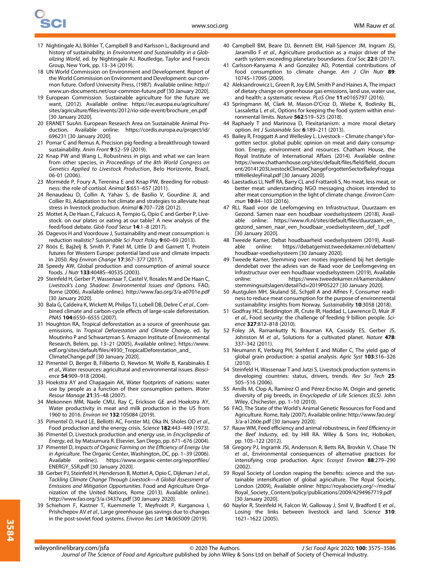- 17 Nightingale AJ, Böhler T, Campbell B and Karlsson L, Background and history of sustainability, in Environment and Sustainability in a Globalizing World, ed. by Nightingale AJ. Routledge, Taylor and Francis Group, New York, pp. 13–34 (2019).
- 18 UN World Commission on Environment and Development. Report of the World Commission on Environment and Development: our common future. Oxford University Press, (1987). Available online: [http://](http://www.un-documents.net/our-common-future.pdf) [www.un-documents.net/our-common-future.pdf](http://www.un-documents.net/our-common-future.pdf) [30 January 2020].
- 19 European Commission. Sustainable agriculture for the future we want, (2012). Available online: [https://ec.europa.eu/agriculture/](https://ec.europa.eu/agriculture/sites/agriculture/files/events/2012/rio-side-event/brochure_en.pdf) sites/agriculture/fi[les/events/2012/rio-side-event/brochure\\_en.pdf](https://ec.europa.eu/agriculture/sites/agriculture/files/events/2012/rio-side-event/brochure_en.pdf) [30 January 2020].
- 20 ERANET SusAn. European Research Area on Sustainable Animal Production. Available online: [https://cordis.europa.eu/project/id/](https://cordis.europa.eu/project/id/696231) [696231](https://cordis.europa.eu/project/id/696231) [30 January 2020].
- 21 Pomar C and Remus A, Precision pig feeding: a breakthrough toward sustainability. Anim Front 9:52–59 (2019).
- 22 Knap PW and Wang L, Robustness in pigs and what we can learn from other species, in Proceedings of the 8th World Congress on Genetics Applied to Livestock Production, Belo Horizonte, Brazil, 06-01 (2006).
- 23 Mormède P, Foury A, Terenina E and Knap PW, Breeding for robustness: the role of cortisol. Animal 5:651–657 (2011).
- 24 Renaudeau D, Collin A, Yahav S, de Basilio V, Gourdine JL and Collier RJ, Adaptation to hot climate and strategies to alleviate heat stress in livestock production. Animal 6:707-728 (2012)
- 25 Mottet A, De Haan C, Falcucci A, Tempio G, Opio C and Gerber P, Livestock: on our plates or eating at our table? A new analysis of the feed/food debate. Glob Food Secur 14:1–8 (2017).
- 26 Dagevos H and Voordouw J, Sustainability and meat consumption: is reduction realistic? Sustainable Sci Pract Policy 9:60–69 (2013).
- 27 Röös E, Bajželj B, Smith P, Patel M, Little D and Garnett T, Protein futures for Western Europe: potential land use and climate impacts in 2050. Reg Environ Change 17:367–377 (2017).
- 28 Speedy AW, Global production and consumption of animal source foods. J Nutr 133:4048S–4053S (2003).
- 29 Steinfeld H, Gerber P, Wassenaar T, Castel V, Rosales M and De Haan C, Livestock's Long Shadow: Environmental Issues and Options. FAO, Rome (2006), Available online:).<http://www.fao.org/3/a-a0701e.pdf> [30 January 2020].
- 30 Bala G, Caldeira K, Wickett M, Philips TJ, Lobell DB, Delire C et al., Combined climate and carbon-cycle effects of large-scale deforestation. PNAS 104:6550–6555 (2007).
- 31 Houghton RA, Tropical deforestation as a source of greenhouse gas emissions, in Tropical Deforestation and Climate Change, ed. by Moutinho P and Schwartzman S. Amazon Institute of Environmental Research, Belém, pp. 13–21 (2005), Available online:). [https://www.](https://www.edf.org/sites/default/files/4930_TropicalDeforestation_and_ClimateChange.pdf) edf.org/sites/default/fi[les/4930\\_TropicalDeforestation\\_and\\_](https://www.edf.org/sites/default/files/4930_TropicalDeforestation_and_ClimateChange.pdf) [ClimateChange.pdf](https://www.edf.org/sites/default/files/4930_TropicalDeforestation_and_ClimateChange.pdf) [30 January 2020].
- 32 Pimentel D, Berger B, Filiberto D, Newton M, Wolfe B, Karabinakis E et al., Water resources: agricultural and environmental issues. Bioscience 54:909–918 (2004).
- 33 Hoekstra AY and Chapagain AK, Water footprints of nations: water use by people as a function of their consumption pattern. Water Resour Manage 21:35–48 (2007).
- 34 Mekonnen MM, Naele CMU, Ray C, Erickson GE and Hoekstra AY, Water productivity in meat and milk production in the US from 1960 to 2016. Environ Int 132:105084 (2019).
- 35 Pimentel D, Hurd LE, Bellotti AC, Forster MJ, Oka IN, Sholes OD et al., Food production and the energy crisis. Science 182:443–449 (1973).
- 36 Pimentel D, Livestock production and energy use, in Encyclopedia of Energy, ed. by Matsumura R. Elsevier, San Diego, pp. 671–676 (2004).
- 37 Pimentel D, Impacts of Organic Farming on the Efficiency of Energy Use in Agriculture. The Organic Center, Washington, DC, pp. 1–39 (2006). Available online:). [https://www.organic-center.org/report](https://www.organic-center.org/reportfiles/ENERGY_SSR.pdf)files/ [ENERGY\\_SSR.pdf](https://www.organic-center.org/reportfiles/ENERGY_SSR.pdf) [30 January 2020].
- 38 Gerber PJ, Steinfeld H, Henderson B, Mottet A, Opio C, Dijkman J et al., Tackling Climate Change Through Livestock—A Global Assessment of Emissions and Mitigation Opportunities. Food and Agriculture Organization of the United Nations, Rome (2013). Available online:). <http://www.fao.org/3/a-i3437e.pdf> [30 January 2020].
- 39 Schiehorn F, Kastner T, Kuemmerle T, Meyfroidt P, Kurganova I, Prishchepov AV et al., Large greenhouse gas savings due to changes in the post-soviet food systems. Environ Res Lett 14:065009 (2019).
- 40 Campbell BM, Beare DJ, Bennett EM, Hall-Spencer JM, Ingram JSI, Jaramillo F et al., Agriculture production as a major driver of the earth system exceeding planetary boundaries. Ecol Soc 22:8 (2017).
- 41 Carlsson-Kanyama A and González AD, Potential contributions of food consumption to climate change. Am J Clin Nutr 89: 1074S–1709S (2009).
- 42 Aleksandrowicz L, Green R, Joy EJM, Smith P and Haines A, The impact of dietary change on greenhouse gas emissions, land use, water use, and health: a systematic review. PLoS One 11:e0165797 (2016).
- 43 Springmann M, Clark M, Mason-D'Croz D, Wiebe K, Bodirsky BL, Lassaletta L et al., Options for keeping the food system within environmental limits. Nature 562:519–525 (2018).
- 44 Raphaely T and Marinova D, Flexitarianism: a more moral dietary option. Int J Sustainable Soc 6:189–211 (2013).
- 45 Bailey R, Froggatt A and Wellesley L. Livestock Climate change's forgotten sector. global public opinion on meat and dairy consumption. Energy, environment and resources. Chatham House, the Royal Institute of International Affairs (2014). Available online: [https://www.chathamhouse.org/sites/default/](https://www.chathamhouse.org/sites/default/files/field/field_document/20141203LivestockClimateChangeForgottenSectorBaileyFroggattWellesleyFinal.pdf)files/field/field\_docum [ent/20141203LivestockClimateChangeForgottenSectorBaileyFrogga](https://www.chathamhouse.org/sites/default/files/field/field_document/20141203LivestockClimateChangeForgottenSectorBaileyFroggattWellesleyFinal.pdf) [ttWellesleyFinal.pdf](https://www.chathamhouse.org/sites/default/files/field/field_document/20141203LivestockClimateChangeForgottenSectorBaileyFroggattWellesleyFinal.pdf) [30 January 2020].
- 46 Laestadius LI, Neff RA, Barry CL and Frattaroli S, No meat, less meat, or better meat: understanding NGO messaging choices intended to alter meat consumption in the light of climate change. Environ Commun 10:84-103 (2016).
- 47 RLI, Raad voor de Leefomgeving en Infrastructuur, Duurzaam en Gezond. Samen naar een houdbaar voedselsysteem (2018), Available online: [https://www.rli.nl/sites/default/](https://www.rli.nl/sites/default/files/duurzaam_en_gezond_samen_naar_een_houdbaar_voedselsysteem_def_1.pdf)files/duurzaam\_en\_ [gezond\\_samen\\_naar\\_een\\_houdbaar\\_voedselsysteem\\_def\\_1.pdf](https://www.rli.nl/sites/default/files/duurzaam_en_gezond_samen_naar_een_houdbaar_voedselsysteem_def_1.pdf) [30 January 2020].
- 48 Tweede Kamer, Debat houdbaarheid voedselsysteem (2019), Available online: [https://debatgemist.tweedekamer.nl/debatten/](https://debatgemist.tweedekamer.nl/debatten/houdbaar-voedselsysteem) [houdbaar-voedselsysteem](https://debatgemist.tweedekamer.nl/debatten/houdbaar-voedselsysteem) [30 January 2020].
- 49 Tweede Kamer, Stemming over: moties ingrediend bij het dertigledendebat over the advies van de Raad voor de Leefomgeving en Infrastructuur over een houdbaar voedselsysteem (2019), Available online: [https://www.tweedekamer.nl/kamerstukken/](https://www.tweedekamer.nl/kamerstukken/stemmingsuitslagen/detail?id=2019P05227) [stemmingsuitslagen/detail?id](https://www.tweedekamer.nl/kamerstukken/stemmingsuitslagen/detail?id=2019P05227)=2019P05227 [30 January 2020].
- 50 Austgulen MH, Skuland SE, Schjøll A and Alfnes F, Consumer readiness to reduce meat consumption for the purpose of environmental sustainability: insights from Norway. Sustainability 10:3058 (2018).
- 51 Godfray HCJ, Beddington JR, Crute IR, Haddad L, Lawrence D, Muir JF et al., Food security: the challenge of feeding 9 billion people. Science 327:812–818 (2010).
- 52 Foley JA, Ramankutty N, Brauman KA, Cassidy ES, Gerber JS, Johnston M et al., Solutions for a cultivated planet. Nature 478: 337–342 (2011).
- 53 Neumann K, Verburg PH, Stehfest E and Müller C, The yield gap of global grain production: a spatial analysis. Agric Syst 103:316–326  $(2010)$
- 54 Steinfeld H, Wassenaar T and Jutzi S, Livestock production systems in developing countries: status, drivers, trends. Rev Sci Tech 25: 505–516 (2006).
- 55 Amills M, Clop A, Ramírez O and Pérez-Enciso M, Origin and genetic diversity of pig breeds, in Encyclopedia of Life Sciences (ELS). John Wiley, Chichester, pp. 1–10 (2010).
- 56 FAO, The State of the World's Animal Genetic Resources for Food and Agriculture. Rome, Italy (2007), Available online: [http://www.fao.org/](http://www.fao.org/3/a-a1260e.pdf) [3/a-a1260e.pdf](http://www.fao.org/3/a-a1260e.pdf) [30 January 2020].
- 57 Rauw WM, Feed efficiency and animal robustness, in Feed Efficiency in the Beef Industry, ed. by Hill RA. Wiley & Sons Inc, Hoboken, pp. 105–122 (2012).
- 58 Gregory PJ, Ingramk JSI, Andersson R, Betts RA, Brovkin V, Chase TN et al., Environmental consequences of alternative practices for intensifying crop production. Agric Ecosyst Environ 88:279–290 (2002).
- 59 Royal Society of London reaping the benefits: science and the sustainable intensification of global agriculture. The Royal Society, London (2009), Available online: [https://royalsociety.org/~/media/](https://royalsociety.org/~/media/Royal_Society_Content/policy/publications/2009/4294967719.pdf) [Royal\\_Society\\_Content/policy/publications/2009/4294967719.pdf](https://royalsociety.org/~/media/Royal_Society_Content/policy/publications/2009/4294967719.pdf) [30 January 2020].
- 60 Naylor R, Steinfeld H, Falcon W, Galloway J, Smil V, Bradford E et al., Losing the links between livestock and land. Science 310: 1621–1622 (2005).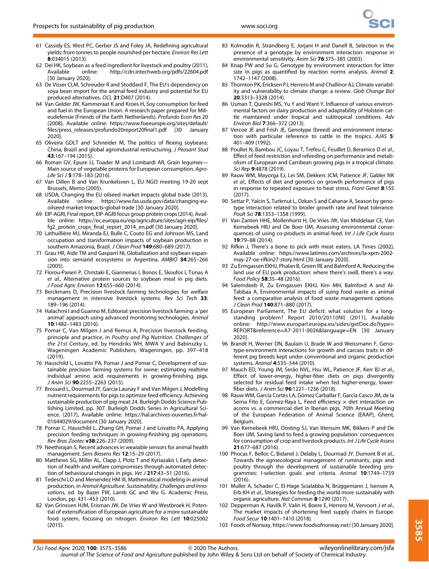- 61 Cassidy ES, West PC, Gerber JS and Foley JA, Redefining agricultural yields: from tonnes to people nourished per hectare. Environ Res Lett 8:034015 (2013).
- 62 Dei HK, Soybean as a feed ingredient for livestock and poultry (2011), Available online:<http://cdn.intechweb.org/pdfs/22604.pdf> [30 January 2020].
- 63 De Visser CLM, Schreuder R and Stoddard F, The EU's dependency on soya bean import for the animal feed industry and potential for EU produced alternatives. OCL 21:D407 (2014).
- 64 Van Gelder JW, Kammeraat K and Kroes H, Soy consumption for feed and fuel in the European Union. A research paper prepared for Milieudefensie (Friends of the Earth Netherlands). Profundo Econ Res 20 (2008), Available online: [https://www.foeeurope.org/sites/default/](https://www.foeeurope.org/sites/default/files/press_releases/profundo20report20final1.pdf) fi[les/press\\_releases/profundo20report20](https://www.foeeurope.org/sites/default/files/press_releases/profundo20report20final1.pdf)final1.pdf [30 January 2020].
- 65 Oliveira GDLT and Schneider M, The politics of flexing soybeans: China, Brazil and global agroindustrial restructuring. J Peasant Stud 43:167–194 (2015).
- 66 Roman GV, Epure LI, Toader M and Lombardi AR, Grain legumes— Main source of vegetable proteins for European consumption. Agro-Life Sci J 5:178-183 (2016).
- 67 Van Dillen B and Van Krunkelsven L, EU NGO meeting 19-20 sept Brussels, Memo (2005).
- 68 USDA, Changing the EU oilseed market impacts global trade (2013), Available online: [https://www.fas.usda.gov/data/changing-eu](https://www.fas.usda.gov/data/changing-eu-oilseed-market-impacts-global-trade)[oilseed-market-impacts-global-trade](https://www.fas.usda.gov/data/changing-eu-oilseed-market-impacts-global-trade) [30 January 2020].
- 69 EIP-AGRI, Final report, EIP-AGRI focus group protein crops (2014), Availble online: [https://ec.europa.eu/eip/agriculture/sites/agri-eip/](https://ec.europa.eu/eip/agriculture/sites/agri-eip/files/fg2_protein_crops_final_report_2014_en.pdf)files/ fg2\_protein\_crops\_fi[nal\\_report\\_2014\\_en.pdf](https://ec.europa.eu/eip/agriculture/sites/agri-eip/files/fg2_protein_crops_final_report_2014_en.pdf) [30 January 2020].
- 70 Lathuillière MJ, Miranda EJ, Bulle C, Couto EG and Johnson MS, Land occupation and transformation impacts of soybean production in southern Amazonia, Brazil. J Clean Prod 149:680–689 (2017).
- 71 Grau HR, Aide TM and Gasparri NI, Globalization and soybean expansion into semiarid ecosystems or Argentina. AMBIO 34:265–266 (2005).
- 72 Florou-Paneri P, Christaki E, Giannenas I, Bonos E, Skoufos I, Tsinas A et al., Alternative protein sources to soybean meal in pig diets. J Food Agric Environ 12:655–660 (2014).
- 73 Berckmans D, Precision livestock farming technologies for welfare management in intensive livestock systems. Rev Sci Tech 33: 189–196 (2014).
- 74 Halachmi I and Guarino M, Editorial: precision livestock farming: a 'per animal' approach using advanced monitoring technologies. Animal 10:1482–1483 (2016).
- 75 Pomar C, Van Milgen J and Remus A, Precision livestock feeding, principle and practice, in Poultry and Pig Nutrition. Challenges of the 21st Century, ed. by Hendriks WH, MWA V and Babinszky L. Wageningen Academic Publishers, Wageningen, pp. 397–418 (2019).
- 76 Hauschild L, Lovatto PA, Pomar J and Pomar C, Development of sustainable precision farming systems for swine: estimating realtime individual amino acid requirements in growing-finishing pigs. J Anim Sci 90:2255–2263 (2015).
- 77 Brossard L, Dourmad JY, Garcia Launay F and Van Milgen J, Modelling nutrient requirements for pigs to optimize feed efficiency. Achieving sustainable production of pig meat 24. Burleigh Dodds Science Publishing Limited, pp. 307. Burleigh Dodds Series in Agricultural Science. (2017), Available online: [https://hal.archives-ouvertes.fr/hal-](https://hal.archives-ouvertes.fr/hal-01644029/document)[01644029/document](https://hal.archives-ouvertes.fr/hal-01644029/document) [30 January 2020].
- 78 Pomar C, Hauschild L, Zhang GH, Pomar J and Lovatto PA, Applying precision feeding techniques in growing-finishing pig operations. Rev Bras Zootec v38:226–237 (2009).
- 79 Neethirajan S, Recent advances in wearable sensors for animal health management. Sens Biosens Res 12:15–29 (2017).
- 80 Matthews SG, Miller AL, Clapp J, Plotz T and Kyriazakis I, Early detection of health and welfare compromises through automated detection of behavioural changes in pigs. Vet J 217:43-51 (2016).
- 81 Tedeschi LO and Menendez HM III, Mathematical modeling in animal production, in Animal Agriculture. Sustainability, Challenges and Innovations, ed. by Bazer FW, Lamb GC and Wu G. Academic Press, London, pp. 431–453 (2010).
- 82 Van Grinsven HJM, Erisman JW, De Vries W and Westbroek H, Potential of extensification of European agriculture for a more sustainable food system, focusing on nitrogen. Environ Res Lett 10:025002 (2015).
- 83 Kolmodin R, Strandberg E, Jorjani H and Danell B, Selection in the presence of a genotype by environment interaction: response in environmental sensitivity. Anim Sci 76:375–385 (2003).
- 84 Knap PW and Su G, Genotype by environment interaction for litter size in pigs as quantified by reaction norms analysis. Animal 2: 1742–1147 (2008).
- 85 Thornton PK, Ericksen PJ, Herrero M and Challinor AJ, Climate variability and vulnerability to climate change: a review. Glob Change Biol 20:3313–3328 (2014).
- 86 Usman T, Qureshi MS, Yu Y and Want Y, Influence of various environmental factors on dairy production and adaptability of Holstein cattle maintained under tropical and subtropical conditions. Adv Environ Biol 7:366–372 (2013).
- 87 Vercoe JE and Frish JE, Genotype (breed) and environment interaction with particular reference to cattle in the tropics. AJAS 5: 401–409 (1992).
- 88 Poullet N, Bambou JC, Loyau T, Trefeu C, Feuillet D, Beramice D et al., Effect of feed restriction and refeeding on performance and metabolism of European and Carribean growing pigs in a tropical climate. Sci Rep 9:4878 (2019).
- 89 Rauw WM, Mayorga EJ, Lei SM, Dekkers JCM, Patience JF, Gabler NK et al., Effects of diet and genetics on growth performance of pigs in response to repeated exposure to heat stress. Front Genet 8:155 (2017).
- 90 Settar P, Yalcin S, Turkmut L, Ozkan S and Cahanar A, Season by genotype interaction related to broiler growth rate and heat tolerance. Poult Sci 78:1353–1358 (1999).
- 91 Van Zanten HHE, Mollenhorst H, De Vries JW, Van Middelaar CE, Van Kernebeek HRJ and De Boer IJM, Assessing environmental consequences of using co-products in animal feed. Int J Life Cycle Assess 19:79–88 (2014).
- 92 Rifkin J, There's a bone to pick with meat eaters. LA Times (2002), Available online: [https://www.latimes.com/archives/la-xpm-2002](https://www.latimes.com/archives/la-xpm-2002-may-27-oe-rifkin27-story.html) [may-27-oe-rifkin27-story.html](https://www.latimes.com/archives/la-xpm-2002-may-27-oe-rifkin27-story.html) [30 January 2020].
- 93 Zu Ermgassen EKHJ, Phalan B, Green RE and Balmford A, Reducing the land use of EU pork production: where there's swill, there's a way. Food Policy 58:35–48 (2016).
- 94 Salemdeeb R, Zu Ermgassen EKHJ, Kim MH, Balmford A and Al-Tabbaa A, Environmental impacts of suing food waste as animal feed: a comparative analysis of food waste management options. J Clean Prod 140:871–880 (2017).
- 95 European Parliament, The EU deficit: what solution for a longstanding problem? Report 2010/2011(INI) (2011), Available online: [http://www.europarl.europa.eu/sides/getDoc.do?type](http://www.europarl.europa.eu/sides/getDoc.do?type=REPORT&reference=A7-2011-0026&language=EN)= REPORT&reference=[A7-2011-0026&language](http://www.europarl.europa.eu/sides/getDoc.do?type=REPORT&reference=A7-2011-0026&language=EN)=EN [30 January 2020].
- 96 Brandt H, Werner DN, Baulain U, Brade W and Weissmann F, Genotype-environment interactions for growth and carcass traits in different pig breeds kept under conventional and organic production systems. Animal 4:535–544 (2010).
- 97 Mauch ED, Young JM, Serão NVL, Hsu WL, Patience JF, Kerr BJ et al., Effect of lower-energy, higher-fiber diets on pigs divergently selected for residual feed intake when fed higher-energy, lowerfiber diets. J Anim Sci 96:1221–1236 (2018).
- 98 Rauw WM, García Cortés LA, Gómez Carballar F, Garcia Casco JM, de la Serna Fito E, Gomez-Raya L, Feed efficiency  $\times$  diet interaction on acorns vs. a commercial diet in Iberian pigs, 70th Annual Meeting of the European Federation of Animal Science (EAAP), Ghent, Belgium.
- 99 Van Kernebeek HRJ, Oosting SJ, Van Ittersum MK, Bikkers P and De Boer IJM, Saving land to feed a growing population: consequences for consumption of crop and livestock products. Int J Life Cycle Assess 21:677–687 (2016).
- 100 Phocas F, Belloc C, Bidanel J, Delaby L, Dourmad JY, Dumont B et al., Towards the agroecological management of ruminants, pigs and poultry through the development of sustainable breeding programmes: I-selection goals and criteria. Animal 10:1749–1759 (2016).
- 101 Muller A, Schader C, El-Hage Scialabba N, Brüggemann J, Isensee A, Erb KH et al., Strategies for feeding the world more sustainably with organic agriculture. Nat Commun 8:1290 (2017).
- 102 Depperman A, Havlík P, Valin H, Boere E, Herrero M, Vervoort J et al., The market impacts of shortening feed supply chains in Europe. Food Secur 10:1401–1410 (2018).
- 103 Foods of Norway,<https://www.foodsofnorway.net/> [30 January 2020].